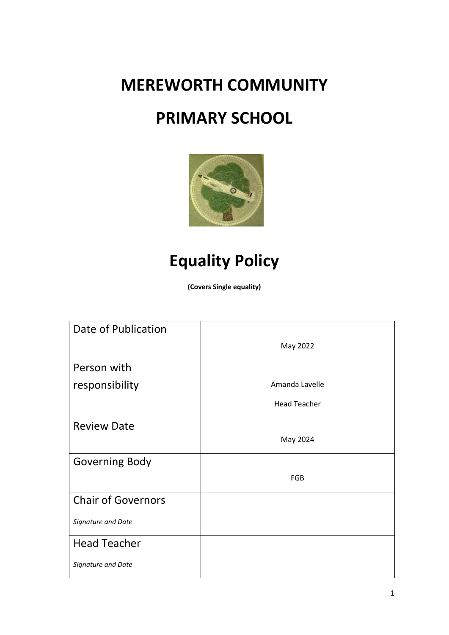**MEREWORTH COMMUNITY** 

# **PRIMARY SCHOOL**



# **Equality Policy**

**(Covers Single equality)**

| Date of Publication       |                     |
|---------------------------|---------------------|
|                           | May 2022            |
| Person with               |                     |
| responsibility            | Amanda Lavelle      |
|                           | <b>Head Teacher</b> |
| <b>Review Date</b>        |                     |
|                           | May 2024            |
| <b>Governing Body</b>     |                     |
|                           | <b>FGB</b>          |
| <b>Chair of Governors</b> |                     |
| Signature and Date        |                     |
| <b>Head Teacher</b>       |                     |
| Signature and Date        |                     |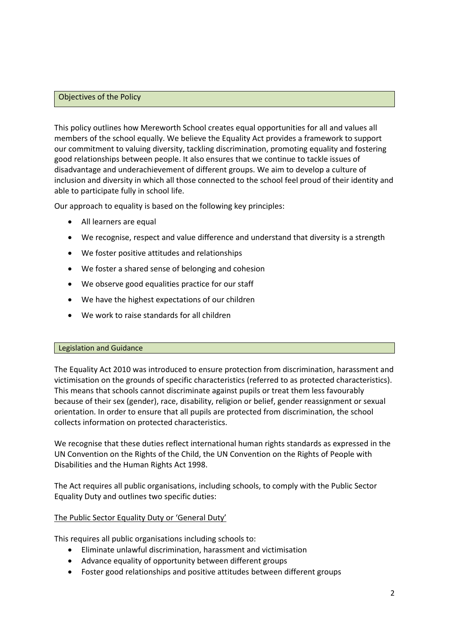#### Objectives of the Policy

This policy outlines how Mereworth School creates equal opportunities for all and values all members of the school equally. We believe the Equality Act provides a framework to support our commitment to valuing diversity, tackling discrimination, promoting equality and fostering good relationships between people. It also ensures that we continue to tackle issues of disadvantage and underachievement of different groups. We aim to develop a culture of inclusion and diversity in which all those connected to the school feel proud of their identity and able to participate fully in school life.

Our approach to equality is based on the following key principles:

- All learners are equal
- We recognise, respect and value difference and understand that diversity is a strength
- We foster positive attitudes and relationships
- We foster a shared sense of belonging and cohesion
- We observe good equalities practice for our staff
- We have the highest expectations of our children
- We work to raise standards for all children

#### Legislation and Guidance

The Equality Act 2010 was introduced to ensure protection from discrimination, harassment and victimisation on the grounds of specific characteristics (referred to as protected characteristics). This means that schools cannot discriminate against pupils or treat them less favourably because of their sex (gender), race, disability, religion or belief, gender reassignment or sexual orientation. In order to ensure that all pupils are protected from discrimination, the school collects information on protected characteristics.

We recognise that these duties reflect international human rights standards as expressed in the UN Convention on the Rights of the Child, the UN Convention on the Rights of People with Disabilities and the Human Rights Act 1998.

The Act requires all public organisations, including schools, to comply with the Public Sector Equality Duty and outlines two specific duties:

#### The Public Sector Equality Duty or 'General Duty'

This requires all public organisations including schools to:

- Eliminate unlawful discrimination, harassment and victimisation
- Advance equality of opportunity between different groups
- Foster good relationships and positive attitudes between different groups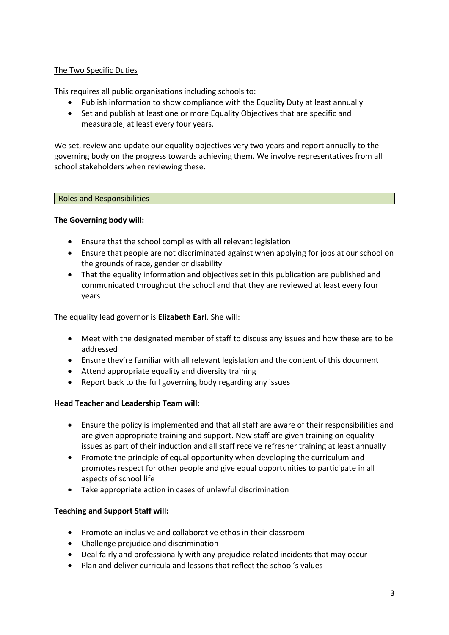# The Two Specific Duties

This requires all public organisations including schools to:

- Publish information to show compliance with the Equality Duty at least annually
- Set and publish at least one or more Equality Objectives that are specific and measurable, at least every four years.

We set, review and update our equality objectives very two years and report annually to the governing body on the progress towards achieving them. We involve representatives from all school stakeholders when reviewing these.

#### Roles and Responsibilities

# **The Governing body will:**

- Ensure that the school complies with all relevant legislation
- Ensure that people are not discriminated against when applying for jobs at our school on the grounds of race, gender or disability
- That the equality information and objectives set in this publication are published and communicated throughout the school and that they are reviewed at least every four years

The equality lead governor is **Elizabeth Earl**. She will:

- Meet with the designated member of staff to discuss any issues and how these are to be addressed
- Ensure they're familiar with all relevant legislation and the content of this document
- Attend appropriate equality and diversity training
- Report back to the full governing body regarding any issues

#### **Head Teacher and Leadership Team will:**

- Ensure the policy is implemented and that all staff are aware of their responsibilities and are given appropriate training and support. New staff are given training on equality issues as part of their induction and all staff receive refresher training at least annually
- Promote the principle of equal opportunity when developing the curriculum and promotes respect for other people and give equal opportunities to participate in all aspects of school life
- Take appropriate action in cases of unlawful discrimination

#### **Teaching and Support Staff will:**

- Promote an inclusive and collaborative ethos in their classroom
- Challenge prejudice and discrimination
- Deal fairly and professionally with any prejudice-related incidents that may occur
- Plan and deliver curricula and lessons that reflect the school's values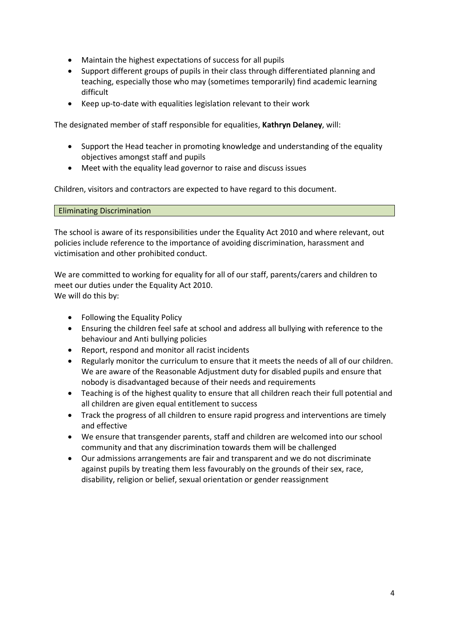- Maintain the highest expectations of success for all pupils
- Support different groups of pupils in their class through differentiated planning and teaching, especially those who may (sometimes temporarily) find academic learning difficult
- Keep up-to-date with equalities legislation relevant to their work

The designated member of staff responsible for equalities, **Kathryn Delaney**, will:

- Support the Head teacher in promoting knowledge and understanding of the equality objectives amongst staff and pupils
- Meet with the equality lead governor to raise and discuss issues

Children, visitors and contractors are expected to have regard to this document.

Eliminating Discrimination

The school is aware of its responsibilities under the Equality Act 2010 and where relevant, out policies include reference to the importance of avoiding discrimination, harassment and victimisation and other prohibited conduct.

We are committed to working for equality for all of our staff, parents/carers and children to meet our duties under the Equality Act 2010. We will do this by:

- Following the Equality Policy
- Ensuring the children feel safe at school and address all bullying with reference to the behaviour and Anti bullying policies
- Report, respond and monitor all racist incidents
- Regularly monitor the curriculum to ensure that it meets the needs of all of our children. We are aware of the Reasonable Adjustment duty for disabled pupils and ensure that nobody is disadvantaged because of their needs and requirements
- Teaching is of the highest quality to ensure that all children reach their full potential and all children are given equal entitlement to success
- Track the progress of all children to ensure rapid progress and interventions are timely and effective
- We ensure that transgender parents, staff and children are welcomed into our school community and that any discrimination towards them will be challenged
- Our admissions arrangements are fair and transparent and we do not discriminate against pupils by treating them less favourably on the grounds of their sex, race, disability, religion or belief, sexual orientation or gender reassignment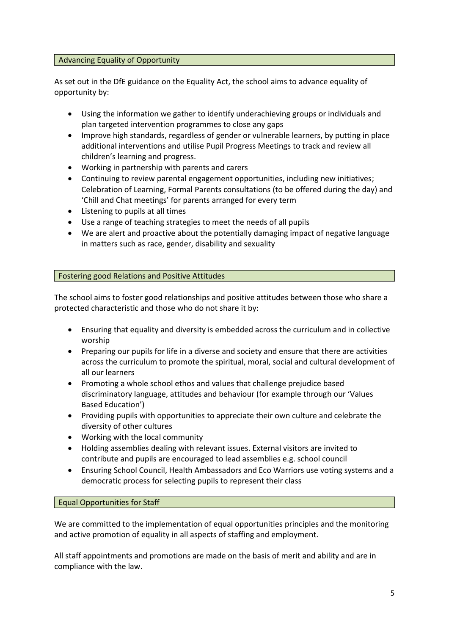#### Advancing Equality of Opportunity

As set out in the DfE guidance on the Equality Act, the school aims to advance equality of opportunity by:

- Using the information we gather to identify underachieving groups or individuals and plan targeted intervention programmes to close any gaps
- Improve high standards, regardless of gender or vulnerable learners, by putting in place additional interventions and utilise Pupil Progress Meetings to track and review all children's learning and progress.
- Working in partnership with parents and carers
- Continuing to review parental engagement opportunities, including new initiatives; Celebration of Learning, Formal Parents consultations (to be offered during the day) and 'Chill and Chat meetings' for parents arranged for every term
- Listening to pupils at all times
- Use a range of teaching strategies to meet the needs of all pupils
- We are alert and proactive about the potentially damaging impact of negative language in matters such as race, gender, disability and sexuality

# Fostering good Relations and Positive Attitudes

The school aims to foster good relationships and positive attitudes between those who share a protected characteristic and those who do not share it by:

- Ensuring that equality and diversity is embedded across the curriculum and in collective worship
- Preparing our pupils for life in a diverse and society and ensure that there are activities across the curriculum to promote the spiritual, moral, social and cultural development of all our learners
- Promoting a whole school ethos and values that challenge prejudice based discriminatory language, attitudes and behaviour (for example through our 'Values Based Education')
- Providing pupils with opportunities to appreciate their own culture and celebrate the diversity of other cultures
- Working with the local community
- Holding assemblies dealing with relevant issues. External visitors are invited to contribute and pupils are encouraged to lead assemblies e.g. school council
- Ensuring School Council, Health Ambassadors and Eco Warriors use voting systems and a democratic process for selecting pupils to represent their class

Equal Opportunities for Staff

We are committed to the implementation of equal opportunities principles and the monitoring and active promotion of equality in all aspects of staffing and employment.

All staff appointments and promotions are made on the basis of merit and ability and are in compliance with the law.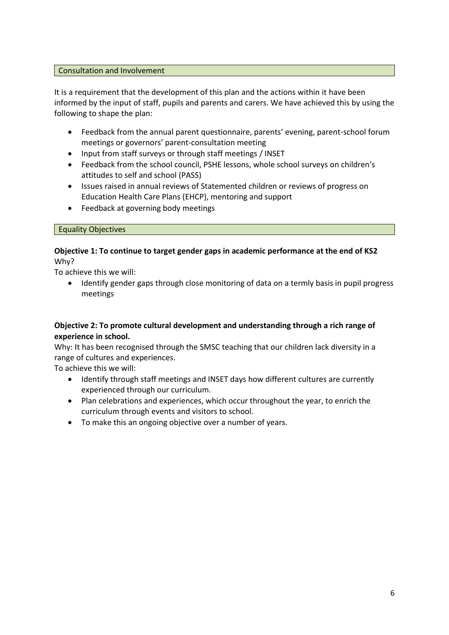#### Consultation and Involvement

It is a requirement that the development of this plan and the actions within it have been informed by the input of staff, pupils and parents and carers. We have achieved this by using the following to shape the plan:

- Feedback from the annual parent questionnaire, parents' evening, parent-school forum meetings or governors' parent-consultation meeting
- Input from staff surveys or through staff meetings / INSET
- Feedback from the school council, PSHE lessons, whole school surveys on children's attitudes to self and school (PASS)
- Issues raised in annual reviews of Statemented children or reviews of progress on Education Health Care Plans (EHCP), mentoring and support
- Feedback at governing body meetings

#### Equality Objectives

# **Objective 1: To continue to target gender gaps in academic performance at the end of KS2** Why?

To achieve this we will:

 Identify gender gaps through close monitoring of data on a termly basis in pupil progress meetings

# **Objective 2: To promote cultural development and understanding through a rich range of experience in school.**

Why: It has been recognised through the SMSC teaching that our children lack diversity in a range of cultures and experiences.

To achieve this we will:

- Identify through staff meetings and INSET days how different cultures are currently experienced through our curriculum.
- Plan celebrations and experiences, which occur throughout the year, to enrich the curriculum through events and visitors to school.
- To make this an ongoing objective over a number of years.